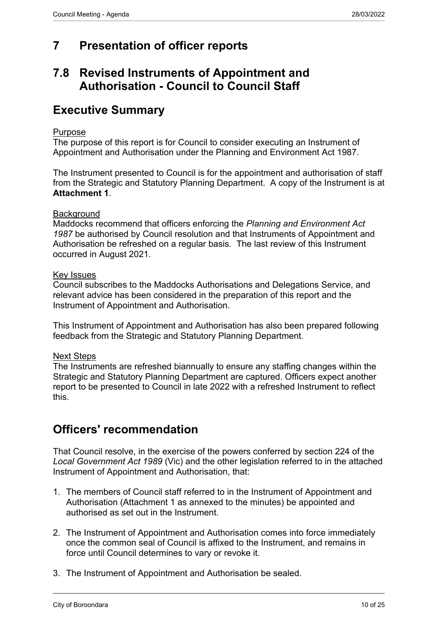# **7 Presentation of officer reports**

## **7.8 Revised Instruments of Appointment and Authorisation - Council to Council Staff**

## **Executive Summary**

#### Purpose

The purpose of this report is for Council to consider executing an Instrument of Appointment and Authorisation under the Planning and Environment Act 1987.

The Instrument presented to Council is for the appointment and authorisation of staff from the Strategic and Statutory Planning Department. A copy of the Instrument is at **Attachment 1**.

#### **Background**

Maddocks recommend that officers enforcing the *Planning and Environment Act 1987* be authorised by Council resolution and that Instruments of Appointment and Authorisation be refreshed on a regular basis. The last review of this Instrument occurred in August 2021.

#### Key Issues

Council subscribes to the Maddocks Authorisations and Delegations Service, and relevant advice has been considered in the preparation of this report and the Instrument of Appointment and Authorisation.

This Instrument of Appointment and Authorisation has also been prepared following feedback from the Strategic and Statutory Planning Department.

### Next Steps

The Instruments are refreshed biannually to ensure any staffing changes within the Strategic and Statutory Planning Department are captured. Officers expect another report to be presented to Council in late 2022 with a refreshed Instrument to reflect this.

### **Officers' recommendation**

That Council resolve, in the exercise of the powers conferred by section 224 of the *Local Government Act 1989* (Vic) and the other legislation referred to in the attached Instrument of Appointment and Authorisation, that:

- 1. The members of Council staff referred to in the Instrument of Appointment and Authorisation (Attachment 1 as annexed to the minutes) be appointed and authorised as set out in the Instrument.
- 2. The Instrument of Appointment and Authorisation comes into force immediately once the common seal of Council is affixed to the Instrument, and remains in force until Council determines to vary or revoke it.
- 3. The Instrument of Appointment and Authorisation be sealed.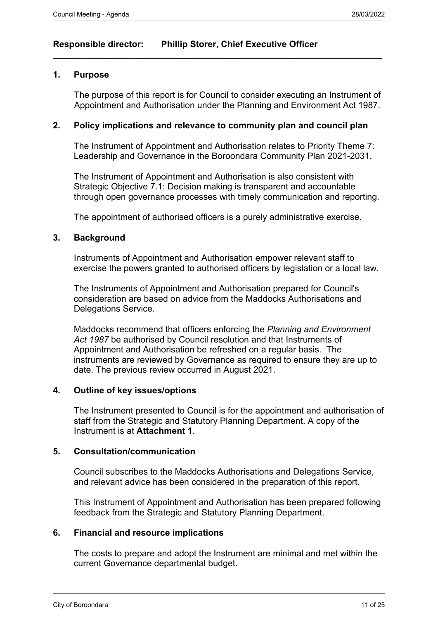### **Responsible director: Phillip Storer, Chief Executive Officer**

#### **1. Purpose**

The purpose of this report is for Council to consider executing an Instrument of Appointment and Authorisation under the Planning and Environment Act 1987.

#### **2. Policy implications and relevance to community plan and council plan**

 $\_$  , and the set of the set of the set of the set of the set of the set of the set of the set of the set of the set of the set of the set of the set of the set of the set of the set of the set of the set of the set of th

The Instrument of Appointment and Authorisation relates to Priority Theme 7: Leadership and Governance in the Boroondara Community Plan 2021-2031.

The Instrument of Appointment and Authorisation is also consistent with Strategic Objective 7.1: Decision making is transparent and accountable through open governance processes with timely communication and reporting.

The appointment of authorised officers is a purely administrative exercise.

#### **3. Background**

Instruments of Appointment and Authorisation empower relevant staff to exercise the powers granted to authorised officers by legislation or a local law.

The Instruments of Appointment and Authorisation prepared for Council's consideration are based on advice from the Maddocks Authorisations and Delegations Service.

Maddocks recommend that officers enforcing the *Planning and Environment Act 1987* be authorised by Council resolution and that Instruments of Appointment and Authorisation be refreshed on a regular basis. The instruments are reviewed by Governance as required to ensure they are up to date. The previous review occurred in August 2021.

#### **4. Outline of key issues/options**

The Instrument presented to Council is for the appointment and authorisation of staff from the Strategic and Statutory Planning Department. A copy of the Instrument is at **Attachment 1**.

#### **5. Consultation/communication**

Council subscribes to the Maddocks Authorisations and Delegations Service, and relevant advice has been considered in the preparation of this report.

This Instrument of Appointment and Authorisation has been prepared following feedback from the Strategic and Statutory Planning Department.

### **6. Financial and resource implications**

The costs to prepare and adopt the Instrument are minimal and met within the current Governance departmental budget.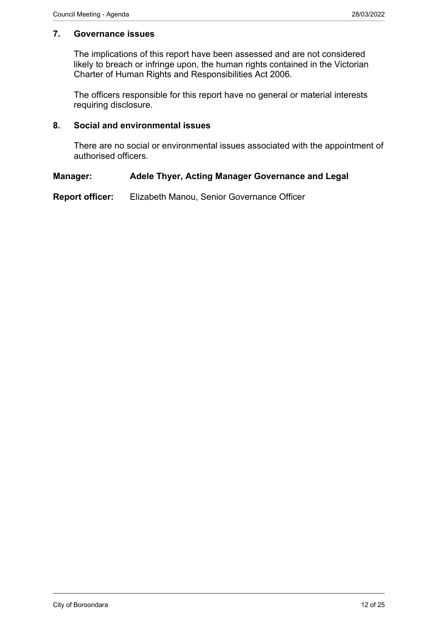### **7. Governance issues**

The implications of this report have been assessed and are not considered likely to breach or infringe upon, the human rights contained in the Victorian Charter of Human Rights and Responsibilities Act 2006.

The officers responsible for this report have no general or material interests requiring disclosure.

### **8. Social and environmental issues**

There are no social or environmental issues associated with the appointment of authorised officers.

### **Manager: Adele Thyer, Acting Manager Governance and Legal**

**Report officer:** Elizabeth Manou, Senior Governance Officer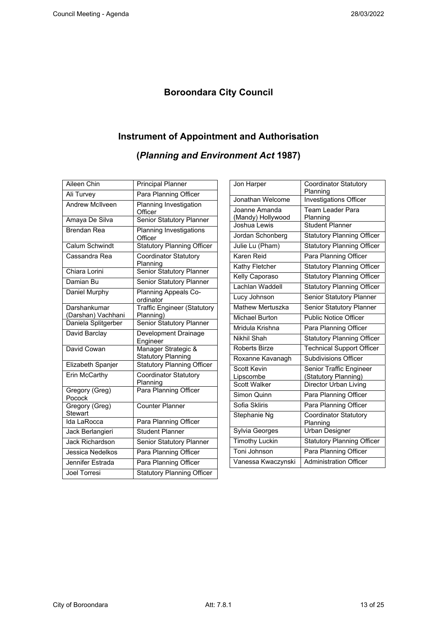### **Boroondara City Council**

# **Instrument of Appointment and Authorisation**

**(***Planning and Environment Act* **1987)** 

| Aileen Chin               | <b>Principal Planner</b>                         |
|---------------------------|--------------------------------------------------|
| Ali Turvey                | Para Planning Officer                            |
| <b>Andrew McIlveen</b>    | Planning Investigation<br>Officer                |
| Amaya De Silva            | <b>Senior Statutory Planner</b>                  |
| <b>Brendan Rea</b>        | Planning Investigations<br>Officer               |
| Calum Schwindt            | <b>Statutory Planning Officer</b>                |
| Cassandra Rea             | <b>Coordinator Statutory</b><br>Planning         |
| Chiara Lorini             | Senior Statutory Planner                         |
| Damian Bu                 | Senior Statutory Planner                         |
| Daniel Murphy             | Planning Appeals Co-<br>ordinator                |
| Darshankumar              | <b>Traffic Engineer (Statutory</b>               |
| (Darshan) Vachhani        | Planning)                                        |
| Daniela Splitgerber       | Senior Statutory Planner                         |
| David Barclay             | Development Drainage<br>Engineer                 |
| David Cowan               | Manager Strategic &<br><b>Statutory Planning</b> |
| Elizabeth Spanjer         | Statutory Planning Officer                       |
| Erin McCarthy             | <b>Coordinator Statutory</b><br>Planning         |
| Gregory (Greg)<br>Pocock  | Para Planning Officer                            |
| Gregory (Greg)<br>Stewart | <b>Counter Planner</b>                           |
| Ida LaRocca               | Para Planning Officer                            |
| Jack Berlangieri          | <b>Student Planner</b>                           |
| <b>Jack Richardson</b>    | Senior Statutory Planner                         |
| Jessica Nedelkos          | Para Planning Officer                            |
| Jennifer Estrada          | Para Planning Officer                            |
| <b>Joel Torresi</b>       | <b>Statutory Planning Officer</b>                |

| Jon Harper                        | <b>Coordinator Statutory</b><br>Planning |
|-----------------------------------|------------------------------------------|
| Jonathan Welcome                  | Investigations Officer                   |
|                                   |                                          |
| Joanne Amanda                     | Team Leader Para                         |
| (Mandy) Hollywood<br>Joshua Lewis | Planning<br>Student Planner              |
|                                   |                                          |
| Jordan Schonberg                  | <b>Statutory Planning Officer</b>        |
| Julie Lu (Pham)                   | <b>Statutory Planning Officer</b>        |
| Karen Reid                        | Para Planning Officer                    |
| Kathy Fletcher                    | <b>Statutory Planning Officer</b>        |
| Kelly Caporaso                    | <b>Statutory Planning Officer</b>        |
| Lachlan Waddell                   | <b>Statutory Planning Officer</b>        |
| Lucy Johnson                      | Senior Statutory Planner                 |
| Mathew Mertuszka                  | Senior Statutory Planner                 |
| Michael Burton                    | <b>Public Notice Officer</b>             |
| Mridula Krishna                   | Para Planning Officer                    |
| Nikhil Shah                       | <b>Statutory Planning Officer</b>        |
| Roberts Birze                     | <b>Technical Support Officer</b>         |
| Roxanne Kavanagh                  | <b>Subdivisions Officer</b>              |
| Scott Kevin                       | Senior Traffic Engineer                  |
| Lipscombe                         | (Statutory Planning)                     |
| <b>Scott Walker</b>               | Director Urban Living                    |
| Simon Quinn                       | Para Planning Officer                    |
| Sofia Skliris                     | Para Planning Officer                    |
| Stephanie Ng                      | Coordinator Statutory                    |
|                                   | Planning                                 |
| Sylvia Georges                    | <b>Urban Designer</b>                    |
| <b>Timothy Luckin</b>             | <b>Statutory Planning Officer</b>        |
| Toni Johnson                      | Para Planning Officer                    |
| Vanessa Kwaczynski                | <b>Administration Officer</b>            |